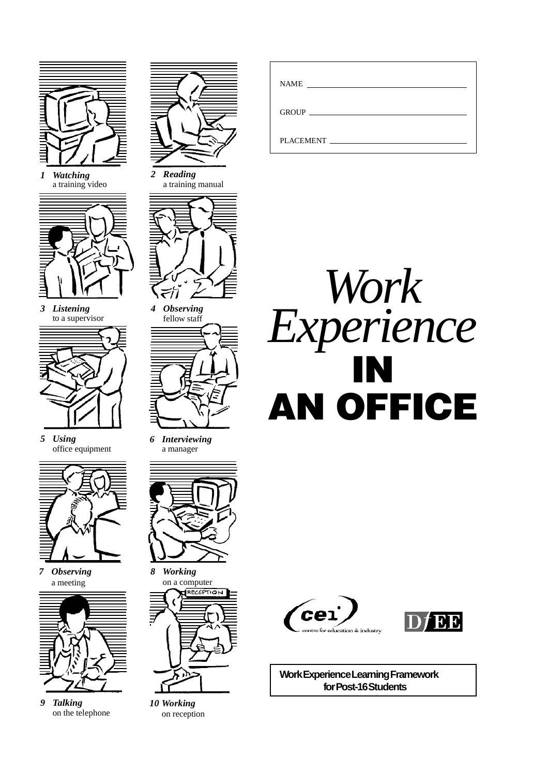

*1 Watching* a training video



*3 Listening* to a supervisor



*5 Using* office equipment



*7 Observing* a meeting



*9 Talking* on the telephone



*2 Reading* a training manual



*4 Observing* fellow staff



*6 Interviewing* a manager



*8 Working* on a computer RECEPTION

*10 Working* on reception

| <b>NAME</b> |
|-------------|
| GROUP       |
| PLACEMENT   |







**Work Experience Learning Framework for Post-16 Students**